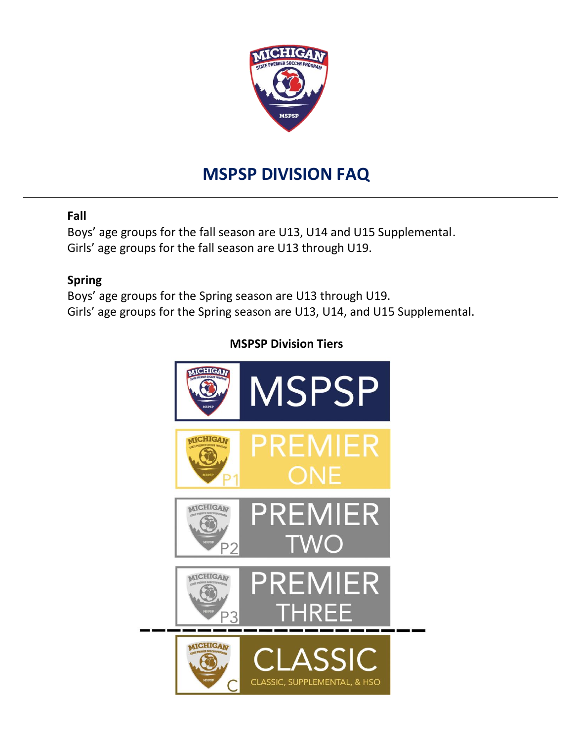

# **MSPSP DIVISION FAQ**

## **Fall**

Boys' age groups for the fall season are U13, U14 and U15 Supplemental. Girls' age groups for the fall season are U13 through U19.

## **Spring**

Boys' age groups for the Spring season are U13 through U19. Girls' age groups for the Spring season are U13, U14, and U15 Supplemental.

# **MSPSP Division Tiers**

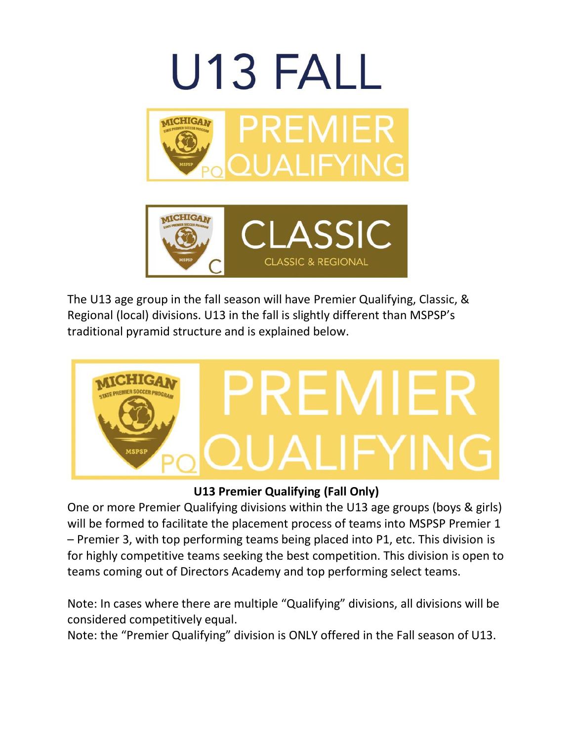

The U13 age group in the fall season will have Premier Qualifying, Classic, & Regional (local) divisions. U13 in the fall is slightly different than MSPSP's traditional pyramid structure and is explained below.



**U13 Premier Qualifying (Fall Only)**

One or more Premier Qualifying divisions within the U13 age groups (boys & girls) will be formed to facilitate the placement process of teams into MSPSP Premier 1 – Premier 3, with top performing teams being placed into P1, etc. This division is for highly competitive teams seeking the best competition. This division is open to teams coming out of Directors Academy and top performing select teams.

Note: In cases where there are multiple "Qualifying" divisions, all divisions will be considered competitively equal.

Note: the "Premier Qualifying" division is ONLY offered in the Fall season of U13.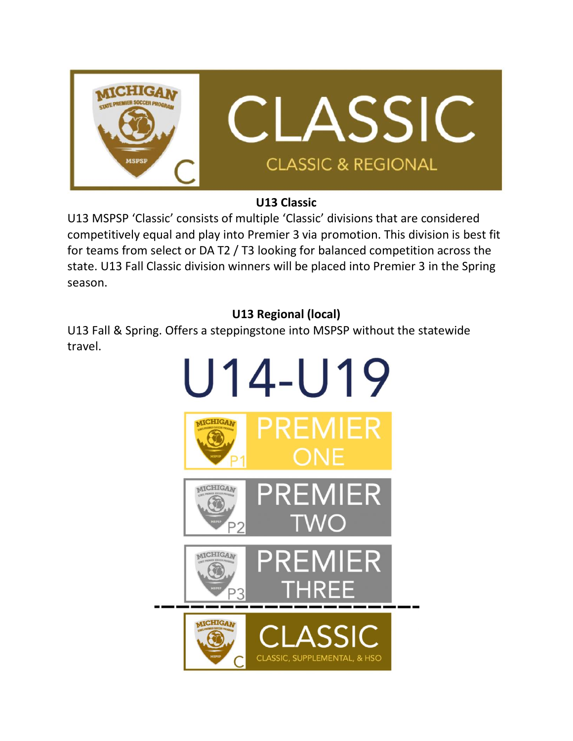

## **U13 Classic**

U13 MSPSP 'Classic' consists of multiple 'Classic' divisions that are considered competitively equal and play into Premier 3 via promotion. This division is best fit for teams from select or DA T2 / T3 looking for balanced competition across the state. U13 Fall Classic division winners will be placed into Premier 3 in the Spring season.

# **U13 Regional (local)**

U13 Fall & Spring. Offers a steppingstone into MSPSP without the statewide travel.

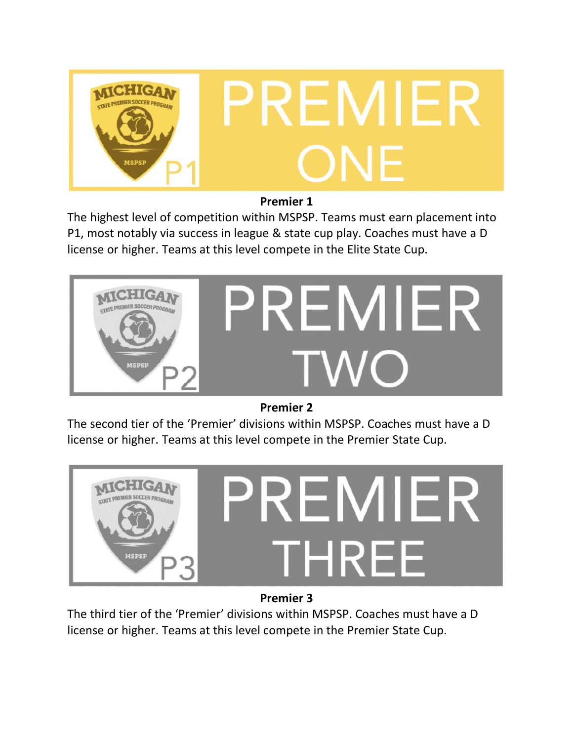

## **Premier 1**

The highest level of competition within MSPSP. Teams must earn placement into P1, most notably via success in league & state cup play. Coaches must have a D license or higher. Teams at this level compete in the Elite State Cup.



**Premier 2**

The second tier of the 'Premier' divisions within MSPSP. Coaches must have a D license or higher. Teams at this level compete in the Premier State Cup.



**Premier 3**

The third tier of the 'Premier' divisions within MSPSP. Coaches must have a D license or higher. Teams at this level compete in the Premier State Cup.